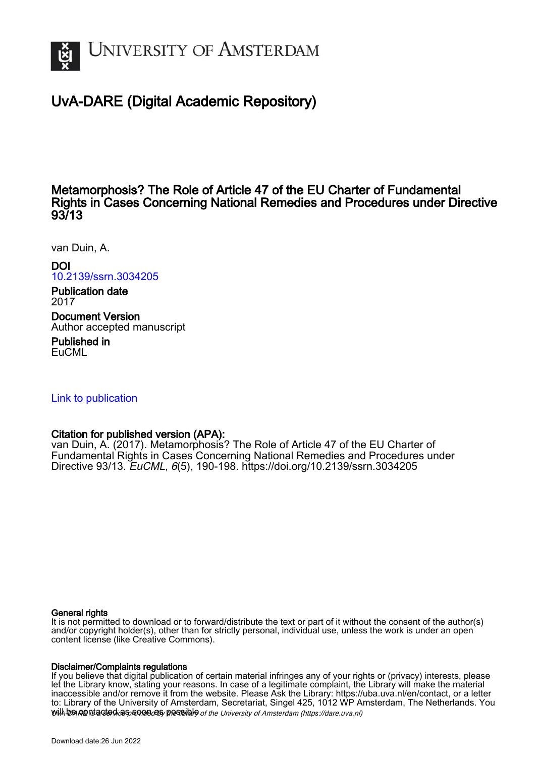

## UvA-DARE (Digital Academic Repository)

## Metamorphosis? The Role of Article 47 of the EU Charter of Fundamental Rights in Cases Concerning National Remedies and Procedures under Directive 93/13

van Duin, A.

DOI [10.2139/ssrn.3034205](https://doi.org/10.2139/ssrn.3034205)

Publication date 2017 Document Version Author accepted manuscript

Published in **EuCML** 

#### [Link to publication](https://dare.uva.nl/personal/pure/en/publications/metamorphosis-the-role-of-article-47-of-the-eu-charter-of-fundamental-rights-in-cases-concerning-national-remedies-and-procedures-under-directive-9313(f17fbf00-8abe-42b2-81b0-637dd5826fa5).html)

#### Citation for published version (APA):

van Duin, A. (2017). Metamorphosis? The Role of Article 47 of the EU Charter of Fundamental Rights in Cases Concerning National Remedies and Procedures under Directive 93/13. EuCML, 6(5), 190-198. <https://doi.org/10.2139/ssrn.3034205>

#### General rights

It is not permitted to download or to forward/distribute the text or part of it without the consent of the author(s) and/or copyright holder(s), other than for strictly personal, individual use, unless the work is under an open content license (like Creative Commons).

#### Disclaimer/Complaints regulations

will be contacted as sontacty pessible of the University of Amsterdam (https://dare.uva.nl) If you believe that digital publication of certain material infringes any of your rights or (privacy) interests, please let the Library know, stating your reasons. In case of a legitimate complaint, the Library will make the material inaccessible and/or remove it from the website. Please Ask the Library: https://uba.uva.nl/en/contact, or a letter to: Library of the University of Amsterdam, Secretariat, Singel 425, 1012 WP Amsterdam, The Netherlands. You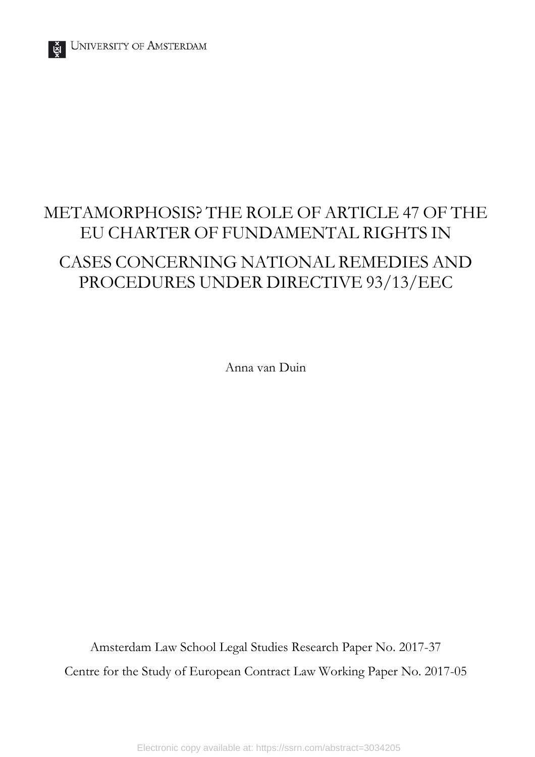

# METAMORPHOSIS? THE ROLE OF ARTICLE 47 OF THE EU CHARTER OF FUNDAMENTAL RIGHTS IN CASES CONCERNING NATIONAL REMEDIES AND PROCEDURES UNDER DIRECTIVE 93/13/EEC

Anna van Duin

Amsterdam Law School Legal Studies Research Paper No. 2017-37 Centre for the Study of European Contract Law Working Paper No. 2017-05

Electronic copy available at: https://ssrn.com/abstract=3034205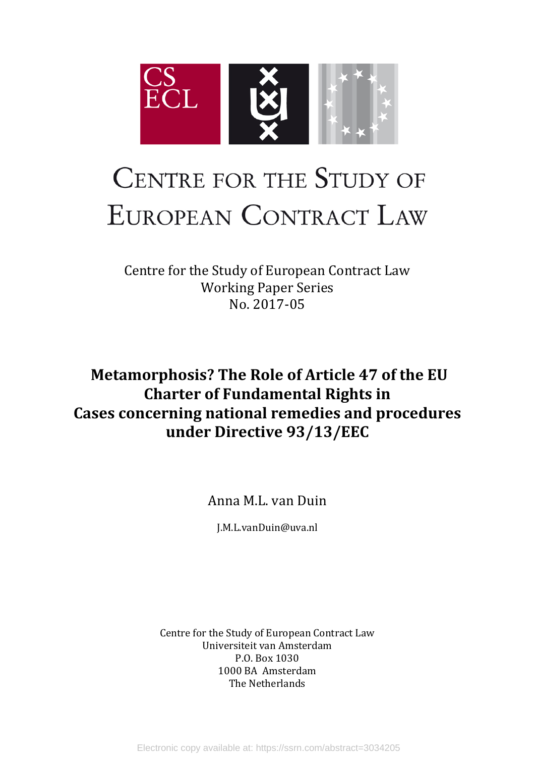

# CENTRE FOR THE STUDY OF EUROPEAN CONTRACT LAW

Centre for the Study of European Contract Law Working Paper Series No. 2017-05

# **Metamorphosis? The Role of Article 47 of the EU Charter of Fundamental Rights in Cases concerning national remedies and procedures under Directive 93/13/EEC**

Anna M.L. van Duin

J.M.L.vanDuin@uva.nl

Centre for the Study of European Contract Law Universiteit van Amsterdam P.O. Box 1030 1000 BA Amsterdam The Netherlands

Electronic copy available at: https://ssrn.com/abstract=3034205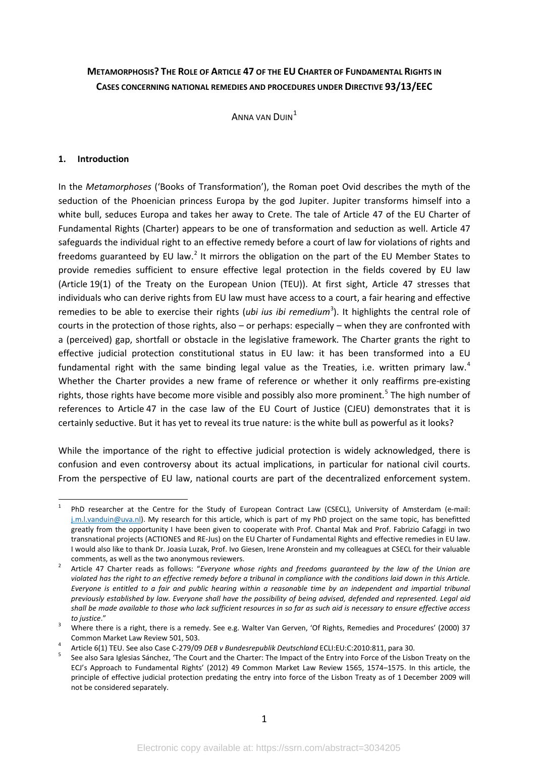## **METAMORPHOSIS? THE ROLE OF ARTICLE 47 OF THE EU CHARTER OF FUNDAMENTAL RIGHTS IN CASES CONCERNING NATIONAL REMEDIES AND PROCEDURES UNDER DIRECTIVE 93/13/EEC**

ANNA VAN DUIN<sup>[1](#page-3-0)</sup>

#### **1. Introduction**

In the *Metamorphoses* ('Books of Transformation'), the Roman poet Ovid describes the myth of the seduction of the Phoenician princess Europa by the god Jupiter. Jupiter transforms himself into a white bull, seduces Europa and takes her away to Crete. The tale of Article 47 of the EU Charter of Fundamental Rights (Charter) appears to be one of transformation and seduction as well. Article 47 safeguards the individual right to an effective remedy before a court of law for violations of rights and freedoms guaranteed by EU law.<sup>[2](#page-3-1)</sup> It mirrors the obligation on the part of the EU Member States to provide remedies sufficient to ensure effective legal protection in the fields covered by EU law (Article 19(1) of the Treaty on the European Union (TEU)). At first sight, Article 47 stresses that individuals who can derive rights from EU law must have access to a court, a fair hearing and effective remedies to be able to exercise their rights (ubi ius ibi remedium<sup>[3](#page-3-2)</sup>). It highlights the central role of courts in the protection of those rights, also – or perhaps: especially – when they are confronted with a (perceived) gap, shortfall or obstacle in the legislative framework. The Charter grants the right to effective judicial protection constitutional status in EU law: it has been transformed into a EU fundamental right with the same binding legal value as the Treaties, i.e. written primary law.<sup>[4](#page-3-3)</sup> Whether the Charter provides a new frame of reference or whether it only reaffirms pre-existing rights, those rights have become more visible and possibly also more prominent. [5](#page-3-4) The high number of references to Article 47 in the case law of the EU Court of Justice (CJEU) demonstrates that it is certainly seductive. But it has yet to reveal its true nature: is the white bull as powerful as it looks?

While the importance of the right to effective judicial protection is widely acknowledged, there is confusion and even controversy about its actual implications, in particular for national civil courts. From the perspective of EU law, national courts are part of the decentralized enforcement system.

<span id="page-3-0"></span>PhD researcher at the Centre for the Study of European Contract Law (CSECL), University of Amsterdam (e-mail: [j.m.l.vanduin@uva.nl\)](mailto:j.m.l.vanduin@uva.nl). My research for this article, which is part of my PhD project on the same topic, has benefitted greatly from the opportunity I have been given to cooperate with Prof. Chantal Mak and Prof. Fabrizio Cafaggi in two transnational projects (ACTIONES and RE-Jus) on the EU Charter of Fundamental Rights and effective remedies in EU law. I would also like to thank Dr. Joasia Luzak, Prof. Ivo Giesen, Irene Aronstein and my colleagues at CSECL for their valuable

<span id="page-3-1"></span>comments, as well as the two anonymous reviewers.<br>Article 47 Charter reads as follows: "*Everyone whose rights and freedoms guaranteed by the law of the Union are violated has the right to an effective remedy before a tribunal in compliance with the conditions laid down in this Article. Everyone is entitled to a fair and public hearing within a reasonable time by an independent and impartial tribunal previously established by law. Everyone shall have the possibility of being advised, defended and represented. Legal aid shall be made available to those who lack sufficient resources in so far as such aid is necessary to ensure effective access to justice*." 3 Where there is a right, there is a remedy. See e.g. Walter Van Gerven, 'Of Rights, Remedies and Procedures' (2000) 37

<span id="page-3-2"></span>Common Market Law Review 501, 503.<br>Article 6(1) TEU. See also Case C-279/09 DEB v Bundesrepublik Deutschland ECLI:EU:C:2010:811, para 30.<br>See also Sara Iglesias Sánchez, 'The Court and the Charter: The Impact of the Entry

<span id="page-3-3"></span>

<span id="page-3-4"></span>ECJ's Approach to Fundamental Rights' (2012) 49 Common Market Law Review 1565, 1574–1575. In this article, the principle of effective judicial protection predating the entry into force of the Lisbon Treaty as of 1 December 2009 will not be considered separately.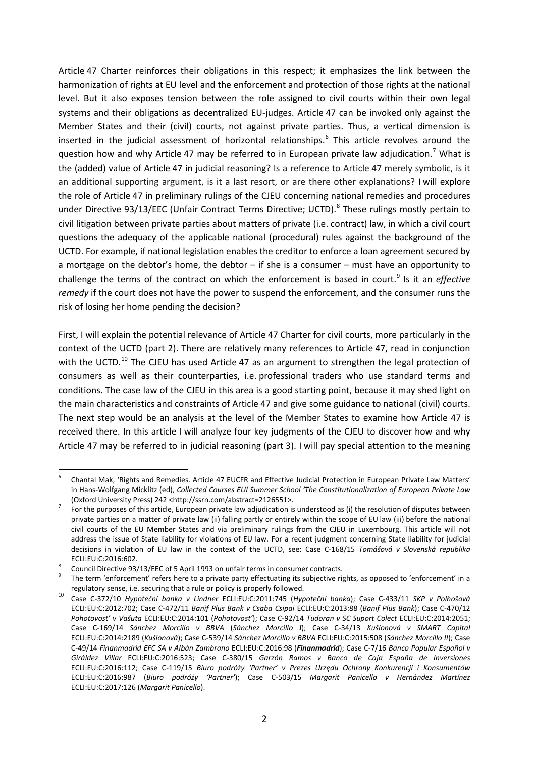Article 47 Charter reinforces their obligations in this respect; it emphasizes the link between the harmonization of rights at EU level and the enforcement and protection of those rights at the national level. But it also exposes tension between the role assigned to civil courts within their own legal systems and their obligations as decentralized EU-judges. Article 47 can be invoked only against the Member States and their (civil) courts, not against private parties. Thus, a vertical dimension is inserted in the judicial assessment of horizontal relationships.<sup>[6](#page-4-0)</sup> This article revolves around the question how and why Article 4[7](#page-4-1) may be referred to in European private law adjudication.<sup>7</sup> What is the (added) value of Article 47 in judicial reasoning? Is a reference to Article 47 merely symbolic, is it an additional supporting argument, is it a last resort, or are there other explanations? I will explore the role of Article 47 in preliminary rulings of the CJEU concerning national remedies and procedures under Directive 93/13/EEC (Unfair Contract Terms Directive; UCTD).<sup>[8](#page-4-2)</sup> These rulings mostly pertain to civil litigation between private parties about matters of private (i.e. contract) law, in which a civil court questions the adequacy of the applicable national (procedural) rules against the background of the UCTD. For example, if national legislation enables the creditor to enforce a loan agreement secured by a mortgage on the debtor's home, the debtor – if she is a consumer – must have an opportunity to challenge the terms of the contract on which the enforcement is based in court. [9](#page-4-3) Is it an *effective remedy* if the court does not have the power to suspend the enforcement, and the consumer runs the risk of losing her home pending the decision?

First, I will explain the potential relevance of Article 47 Charter for civil courts, more particularly in the context of the UCTD (part 2). There are relatively many references to Article 47, read in conjunction with the UCTD.<sup>[10](#page-4-4)</sup> The CJEU has used Article 47 as an argument to strengthen the legal protection of consumers as well as their counterparties, i.e. professional traders who use standard terms and conditions. The case law of the CJEU in this area is a good starting point, because it may shed light on the main characteristics and constraints of Article 47 and give some guidance to national (civil) courts. The next step would be an analysis at the level of the Member States to examine how Article 47 is received there. In this article I will analyze four key judgments of the CJEU to discover how and why Article 47 may be referred to in judicial reasoning (part 3). I will pay special attention to the meaning

<span id="page-4-0"></span> <sup>6</sup> Chantal Mak, 'Rights and Remedies. Article 47 EUCFR and Effective Judicial Protection in European Private Law Matters' in Hans-Wolfgang Micklitz (ed), *Collected Courses EUI Summer School 'The Constitutionalization of European Private Law* (Oxford University Press) 242 <http://ssrn.com/abstract=2126551>.<br>For the purposes of this article, European private law adjudication is understood as (i) the resolution of disputes between

<span id="page-4-1"></span>private parties on a matter of private law (ii) falling partly or entirely within the scope of EU law (iii) before the national civil courts of the EU Member States and via preliminary rulings from the CJEU in Luxembourg. This article will not address the issue of State liability for violations of EU law. For a recent judgment concerning State liability for judicial decisions in violation of EU law in the context of the UCTD, see: Case C-168/15 *Tomášová v Slovenská republika*  ECLI:EU:C:2016:602.<br>Council Directive 93/13/EEC of 5 April 1993 on unfair terms in consumer contracts.<br>The term 'enforcement' refers here to a private party effectuating its subjective rights, as opposed to 'enforcement' i

<span id="page-4-2"></span>

<span id="page-4-3"></span>regulatory sense, i.e. securing that a rule or policy is properly followed.<br>Case C-372/10 *Hypoteční banka v Lindner* ECLI:EU:C:2011:745 (*Hypotečni banka*); Case C-433/11 *SKP v Polhošová* 

<span id="page-4-4"></span>ECLI:EU:C:2012:702; Case C-472/11 *Banif Plus Bank v Csaba Csipai* ECLI:EU:C:2013:88 (*Banif Plus Bank*); Case C-470/12 *Pohotovost' v Vašuta* ECLI:EU:C:2014:101 (*Pohotovost'*); Case C-92/14 *Tudoran v SC Suport Colect* ECLI:EU:C:2014:2051; Case C-169/14 *Sánchez Morcillo v BBVA* (*Sánchez Morcillo I*); Case C-34/13 *Kušionová v SMART Capital*  ECLI:EU:C:2014:2189 (*Kušionová*); Case C-539/14 *Sánchez Morcillo v BBVA* ECLI:EU:C:2015:508 (*Sánchez Morcillo II*); Case C-49/14 *Finanmadrid EFC SA v Albán Zambrano* ECLI:EU:C:2016:98 (*Finanmadrid*); Case C-7/16 *Banco Popular Español v Giráldez Villar* ECLI:EU:C:2016:523; Case C-380/15 *Garzón Ramos v Banco de Caja España de Inversiones*  ECLI:EU:C:2016:112; Case C-119/15 *Biuro podróży 'Partner' v Prezes Urzędu Ochrony Konkurencji i Konsumentów*  ECLI:EU:C:2016:987 (*Biuro podróży 'Partner'*); Case C-503/15 *Margarit Panicello v Hernández Martínez* ECLI:EU:C:2017:126 (*Margarit Panicello*).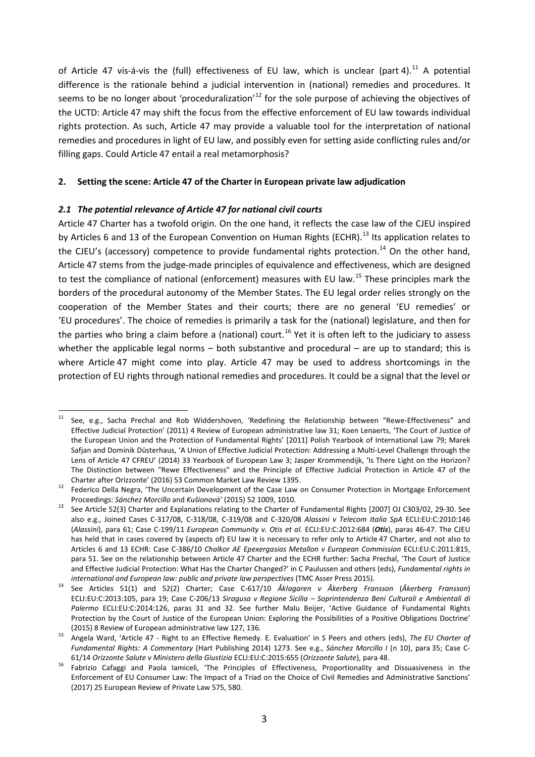of Article 47 vis-á-vis the (full) effectiveness of EU law, which is unclear (part 4).<sup>[11](#page-5-0)</sup> A potential difference is the rationale behind a judicial intervention in (national) remedies and procedures. It seems to be no longer about 'proceduralization'<sup>[12](#page-5-1)</sup> for the sole purpose of achieving the objectives of the UCTD: Article 47 may shift the focus from the effective enforcement of EU law towards individual rights protection. As such, Article 47 may provide a valuable tool for the interpretation of national remedies and procedures in light of EU law, and possibly even for setting aside conflicting rules and/or filling gaps. Could Article 47 entail a real metamorphosis?

#### **2. Setting the scene: Article 47 of the Charter in European private law adjudication**

#### *2.1 The potential relevance of Article 47 for national civil courts*

Article 47 Charter has a twofold origin. On the one hand, it reflects the case law of the CJEU inspired by Articles 6 and [13](#page-5-2) of the European Convention on Human Rights (ECHR).<sup>13</sup> Its application relates to the CJEU's (accessory) competence to provide fundamental rights protection.<sup>[14](#page-5-3)</sup> On the other hand, Article 47 stems from the judge-made principles of equivalence and effectiveness, which are designed to test the compliance of national (enforcement) measures with EU law.<sup>[15](#page-5-4)</sup> These principles mark the borders of the procedural autonomy of the Member States. The EU legal order relies strongly on the cooperation of the Member States and their courts; there are no general 'EU remedies' or 'EU procedures'. The choice of remedies is primarily a task for the (national) legislature, and then for the parties who bring a claim before a (national) court.<sup>[16](#page-5-5)</sup> Yet it is often left to the judiciary to assess whether the applicable legal norms – both substantive and procedural – are up to standard; this is where Article 47 might come into play. Article 47 may be used to address shortcomings in the protection of EU rights through national remedies and procedures. It could be a signal that the level or

<span id="page-5-0"></span><sup>&</sup>lt;sup>11</sup> See, e.g., Sacha Prechal and Rob Widdershoven, 'Redefining the Relationship between "Rewe-Effectiveness" and Effective Judicial Protection' (2011) 4 Review of European administrative law 31; Koen Lenaerts, 'The Court of Justice of the European Union and the Protection of Fundamental Rights' [2011] Polish Yearbook of International Law 79; Marek Safjan and Dominik Düsterhaus, 'A Union of Effective Judicial Protection: Addressing a Multi-Level Challenge through the Lens of Article 47 CFREU' (2014) 33 Yearbook of European Law 3; Jasper Krommendijk, 'Is There Light on the Horizon? The Distinction between "Rewe Effectiveness" and the Principle of Effective Judicial Protection in Article 47 of the

<span id="page-5-1"></span>Charter after Orizzonte' (2016) 53 Common Market Law Review 1395.<br><sup>12</sup> Federico Della Negra, 'The Uncertain Development of the Case Law on Consumer Protection in Mortgage Enforcement Proceedings: *Sánchez Morcillo* and *Kušionová'* (2015) 52 1009, 1010.<br>See Article 52(3) Charter and Explanations relating to the Charter of Fundamental Rights [2007] OJ C303/02, 29-30. See

<span id="page-5-2"></span>also e.g., Joined Cases C-317/08, C-318/08, C-319/08 and C-320/08 *Alassini v Telecom Italia SpA* ECLI:EU:C:2010:146 (*Alassini*), para 61; Case C-199/11 *European Community v. Otis et al.* ECLI:EU:C:2012:684 (*Otis*), paras 46-47. The CJEU has held that in cases covered by (aspects of) EU law it is necessary to refer only to Article 47 Charter, and not also to Articles 6 and 13 ECHR: Case C-386/10 *Chalkor AE Epexergasias Metallon v European Commission* ECLI:EU:C:2011:815, para 51. See on the relationship between Article 47 Charter and the ECHR further: Sacha Prechal, 'The Court of Justice and Effective Judicial Protection: What Has the Charter Changed?' in C Paulussen and others (eds), *Fundamental rights in* 

<span id="page-5-3"></span>*international and European law: public and private law perspectives* (TMC Asser Press 2015). <sup>14</sup> See Articles 51(1) and 52(2) Charter; Case C-617/10 *Åklagaren v Åkerberg Fransson* (*Åkerberg Fransson*) ECLI:EU:C:2013:105, para 19; Case C-206/13 *Siragusa v Regione Sicilia – Soprintendenza Beni Culturali e Ambientali di Palermo* ECLI:EU:C:2014:126, paras 31 and 32. See further Malu Beijer, 'Active Guidance of Fundamental Rights Protection by the Court of Justice of the European Union: Exploring the Possibilities of a Positive Obligations Doctrine'

<span id="page-5-4"></span><sup>(2015) 8</sup> Review of European administrative law 127, 136. <sup>15</sup> Angela Ward, 'Article 47 - Right to an Effective Remedy. E. Evaluation' in S Peers and others (eds), *The EU Charter of Fundamental Rights: A Commentary* (Hart Publishing 2014) 1273. See e.g., *Sánchez Morcillo I* (n 10), para 35; Case C-

<span id="page-5-5"></span><sup>61/14</sup> Orizzonte Salute v Ministero della Giustizia ECLI:EU:C:2015:655 (Orizzonte Salute), para 48.<br><sup>16</sup> Fabrizio Cafaggi and Paola Iamiceli, 'The Principles of Effectiveness, Proportionality and Dissuasiveness in the Enforcement of EU Consumer Law: The Impact of a Triad on the Choice of Civil Remedies and Administrative Sanctions' (2017) 25 European Review of Private Law 575, 580.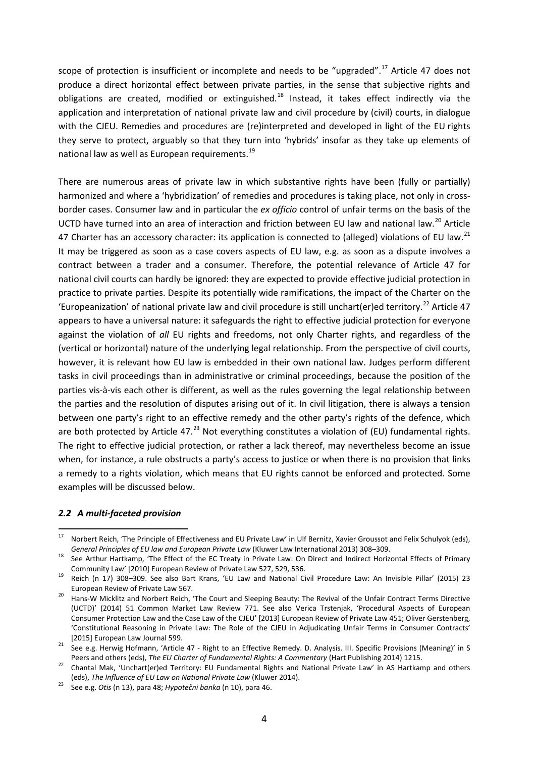scope of protection is insufficient or incomplete and needs to be "upgraded".<sup>[17](#page-6-0)</sup> Article 47 does not produce a direct horizontal effect between private parties, in the sense that subjective rights and obligations are created, modified or extinguished.<sup>[18](#page-6-1)</sup> Instead, it takes effect indirectly via the application and interpretation of national private law and civil procedure by (civil) courts, in dialogue with the CJEU. Remedies and procedures are (re)interpreted and developed in light of the EU rights they serve to protect, arguably so that they turn into 'hybrids' insofar as they take up elements of national law as well as European requirements.<sup>[19](#page-6-2)</sup>

There are numerous areas of private law in which substantive rights have been (fully or partially) harmonized and where a 'hybridization' of remedies and procedures is taking place, not only in crossborder cases. Consumer law and in particular the *ex officio* control of unfair terms on the basis of the UCTD have turned into an area of interaction and friction between EU law and national law.<sup>[20](#page-6-3)</sup> Article 47 Charter has an accessory character: its application is connected to (alleged) violations of EU law.<sup>[21](#page-6-4)</sup> It may be triggered as soon as a case covers aspects of EU law, e.g. as soon as a dispute involves a contract between a trader and a consumer. Therefore, the potential relevance of Article 47 for national civil courts can hardly be ignored: they are expected to provide effective judicial protection in practice to private parties. Despite its potentially wide ramifications, the impact of the Charter on the 'Europeanization' of national private law and civil procedure is still unchart(er)ed territory.<sup>[22](#page-6-5)</sup> Article 47 appears to have a universal nature: it safeguards the right to effective judicial protection for everyone against the violation of *all* EU rights and freedoms, not only Charter rights, and regardless of the (vertical or horizontal) nature of the underlying legal relationship. From the perspective of civil courts, however, it is relevant how EU law is embedded in their own national law. Judges perform different tasks in civil proceedings than in administrative or criminal proceedings, because the position of the parties vis-à-vis each other is different, as well as the rules governing the legal relationship between the parties and the resolution of disputes arising out of it. In civil litigation, there is always a tension between one party's right to an effective remedy and the other party's rights of the defence, which are both protected by Article 47. $^{23}$  $^{23}$  $^{23}$  Not everything constitutes a violation of (EU) fundamental rights. The right to effective judicial protection, or rather a lack thereof, may nevertheless become an issue when, for instance, a rule obstructs a party's access to justice or when there is no provision that links a remedy to a rights violation, which means that EU rights cannot be enforced and protected. Some examples will be discussed below.

#### *2.2 A multi-faceted provision*

<span id="page-6-0"></span><sup>&</sup>lt;sup>17</sup> Norbert Reich, 'The Principle of Effectiveness and EU Private Law' in Ulf Bernitz, Xavier Groussot and Felix Schulyok (eds),

<span id="page-6-1"></span>*General Principles of EU law and European Private Law* (Kluwer Law International 2013) 308–309.<br><sup>18</sup> See Arthur Hartkamp, 'The Effect of the EC Treaty in Private Law: On Direct and Indirect Horizontal Effects of Primary Community Law' [2010] European Review of Private Law 527, 529, 536.<br>Reich (n 17) 308–309. See also Bart Krans, 'EU Law and National Civil Procedure Law: An Invisible Pillar' (2015) 23

<span id="page-6-2"></span>European Review of Private Law 567.<br><sup>20</sup> Hans-W Micklitz and Norbert Reich, 'The Court and Sleeping Beauty: The Revival of the Unfair Contract Terms Directive

<span id="page-6-3"></span><sup>(</sup>UCTD)' (2014) 51 Common Market Law Review 771. See also Verica Trstenjak, 'Procedural Aspects of European Consumer Protection Law and the Case Law of the CJEU' [2013] European Review of Private Law 451; Oliver Gerstenberg, 'Constitutional Reasoning in Private Law: The Role of the CJEU in Adjudicating Unfair Terms in Consumer Contracts'

<span id="page-6-4"></span><sup>[2015]</sup> European Law Journal 599. [2015] European Law Journal 599. 21 See e.g. Herwig Hofmann, 'Article 47 - Right to an Effective Remedy. D. Analysis. III. Specific Provisions (Meaning)' in S

<span id="page-6-5"></span>Peers and others (eds), The EU Charter of Fundamental Rights: A Commentary (Hart Publishing 2014) 1215.<br>Chantal Mak, 'Unchart(er)ed Territory: EU Fundamental Rights and National Private Law' in AS Hartkamp and others (eds), *The Influence of EU Law on National Private Law* (Kluwer 2014). <sup>23</sup> See e.g. *Otis* (n 13), para 48; *Hypotečni banka* (n 10), para 46.

<span id="page-6-6"></span>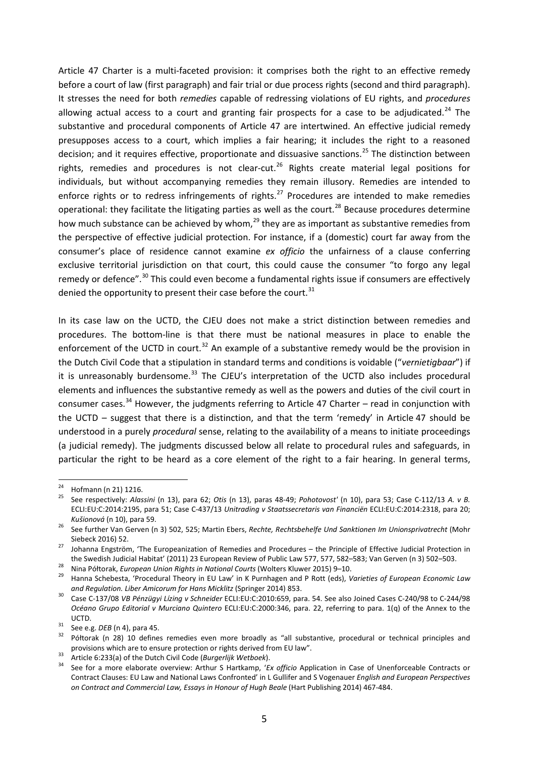Article 47 Charter is a multi-faceted provision: it comprises both the right to an effective remedy before a court of law (first paragraph) and fair trial or due process rights (second and third paragraph). It stresses the need for both *remedies* capable of redressing violations of EU rights, and *procedures* allowing actual access to a court and granting fair prospects for a case to be adjudicated.<sup>[24](#page-7-0)</sup> The substantive and procedural components of Article 47 are intertwined. An effective judicial remedy presupposes access to a court, which implies a fair hearing; it includes the right to a reasoned decision; and it requires effective, proportionate and dissuasive sanctions.<sup>[25](#page-7-1)</sup> The distinction between rights, remedies and procedures is not clear-cut.<sup>[26](#page-7-2)</sup> Rights create material legal positions for individuals, but without accompanying remedies they remain illusory. Remedies are intended to enforce rights or to redress infringements of rights.<sup>[27](#page-7-3)</sup> Procedures are intended to make remedies operational: they facilitate the litigating parties as well as the court.<sup>[28](#page-7-4)</sup> Because procedures determine how much substance can be achieved by whom,<sup>[29](#page-7-5)</sup> they are as important as substantive remedies from the perspective of effective judicial protection. For instance, if a (domestic) court far away from the consumer's place of residence cannot examine *ex officio* the unfairness of a clause conferring exclusive territorial jurisdiction on that court, this could cause the consumer "to forgo any legal remedy or defence".<sup>[30](#page-7-6)</sup> This could even become a fundamental rights issue if consumers are effectively denied the opportunity to present their case before the court.  $31$ 

In its case law on the UCTD, the CJEU does not make a strict distinction between remedies and procedures. The bottom-line is that there must be national measures in place to enable the enforcement of the UCTD in court.<sup>[32](#page-7-8)</sup> An example of a substantive remedy would be the provision in the Dutch Civil Code that a stipulation in standard terms and conditions is voidable ("*vernietigbaar*") if it is unreasonably burdensome. $^{33}$  $^{33}$  $^{33}$  The CJEU's interpretation of the UCTD also includes procedural elements and influences the substantive remedy as well as the powers and duties of the civil court in consumer cases. $34$  However, the judgments referring to Article 47 Charter – read in conjunction with the UCTD – suggest that there is a distinction, and that the term 'remedy' in Article 47 should be understood in a purely *procedural* sense, relating to the availability of a means to initiate proceedings (a judicial remedy). The judgments discussed below all relate to procedural rules and safeguards, in particular the right to be heard as a core element of the right to a fair hearing. In general terms,

<span id="page-7-1"></span><span id="page-7-0"></span><sup>24</sup> Hofmann (n 21) 1216. <sup>25</sup> See respectively: *Alassini* (n 13), para 62; *Otis* (n 13), paras 48-49; *Pohotovost'* (n 10), para 53; Case C-112/13 *A. v B.*  ECLI:EU:C:2014:2195, para 51; Case C-437/13 *Unitrading v Staatssecretaris van Financiën* ECLI:EU:C:2014:2318, para 20; *Kušionová* (n 10), para 59. 26 See further Van Gerven (n 3) 502, 525; Martin Ebers, *Rechte, Rechtsbehelfe Und Sanktionen Im Unionsprivatrecht* (Mohr

<span id="page-7-2"></span>

<span id="page-7-3"></span>Siebeck 2016) 52.<br>27 Johanna Engström, 'The Europeanization of Remedies and Procedures – the Principle of Effective Judicial Protection in<br>1950–503. the Swedish Judicial Habitat' (2011) 23 European Review of Public Law 577

<span id="page-7-4"></span><sup>&</sup>lt;sup>28</sup> Nina Półtorak, *European Union Rights in National Courts* (Wolters Kluwer 2015) 9–10.<br><sup>29</sup> Hanna Schebesta, 'Procedural Theory in EU Law' in K Purnhagen and P Rott (eds), *Varieties of European Economic Law* 

<span id="page-7-6"></span><span id="page-7-5"></span>*and Regulation. Liber Amicorum for Hans Micklitz* (Springer 2014) 853. <sup>30</sup> Case C-137/08 *VB Pénzügyi Lízing v Schneider* ECLI:EU:C:2010:659, para. 54. See also Joined Cases C-240/98 to C-244/98 *Océano Grupo Editorial v Murciano Quintero* ECLI:EU:C:2000:346, para. 22, referring to para. 1(q) of the Annex to the UCTD.<br><sup>31</sup> See e.g. *DEB* (n 4), para 45.<br><sup>32</sup> Półtorak (n 28) 10 defines remedies even more broadly as "all substantive, procedural or technical principles and

<span id="page-7-7"></span>

<span id="page-7-10"></span><span id="page-7-9"></span>

<span id="page-7-8"></span>provisions which are to ensure protection or rights derived from EU law".<br>
<sup>33</sup> Article 6:233(a) of the Dutch Civil Code (*Burgerlijk Wetboek*).<br>
<sup>34</sup> See for a more elaborate overview: Arthur S Hartkamp, 'Ex officio Appli Contract Clauses: EU Law and National Laws Confronted' in L Gullifer and S Vogenauer *English and European Perspectives on Contract and Commercial Law, Essays in Honour of Hugh Beale* (Hart Publishing 2014) 467-484.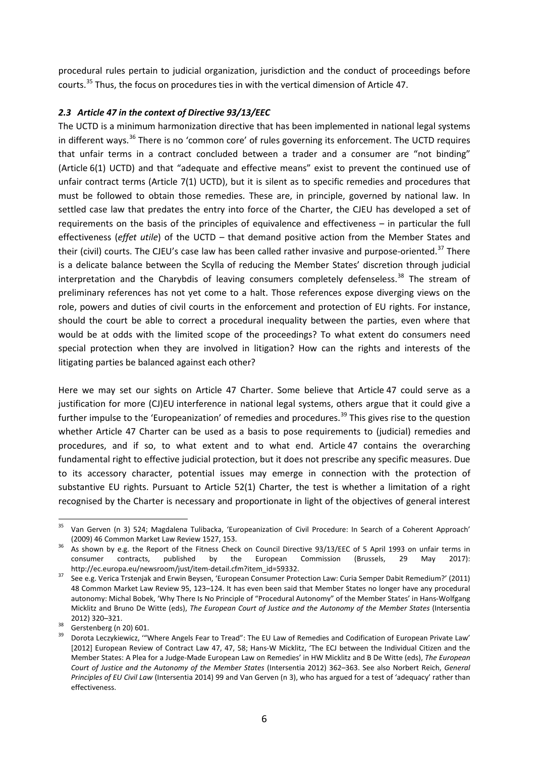procedural rules pertain to judicial organization, jurisdiction and the conduct of proceedings before courts.<sup>[35](#page-8-0)</sup> Thus, the focus on procedures ties in with the vertical dimension of Article 47.

#### *2.3 Article 47 in the context of Directive 93/13/EEC*

The UCTD is a minimum harmonization directive that has been implemented in national legal systems in different ways.<sup>[36](#page-8-1)</sup> There is no 'common core' of rules governing its enforcement. The UCTD requires that unfair terms in a contract concluded between a trader and a consumer are "not binding" (Article 6(1) UCTD) and that "adequate and effective means" exist to prevent the continued use of unfair contract terms (Article 7(1) UCTD), but it is silent as to specific remedies and procedures that must be followed to obtain those remedies. These are, in principle, governed by national law. In settled case law that predates the entry into force of the Charter, the CJEU has developed a set of requirements on the basis of the principles of equivalence and effectiveness – in particular the full effectiveness (*effet utile*) of the UCTD – that demand positive action from the Member States and their (civil) courts. The CJEU's case law has been called rather invasive and purpose-oriented.<sup>[37](#page-8-2)</sup> There is a delicate balance between the Scylla of reducing the Member States' discretion through judicial interpretation and the Charybdis of leaving consumers completely defenseless.<sup>[38](#page-8-3)</sup> The stream of preliminary references has not yet come to a halt. Those references expose diverging views on the role, powers and duties of civil courts in the enforcement and protection of EU rights. For instance, should the court be able to correct a procedural inequality between the parties, even where that would be at odds with the limited scope of the proceedings? To what extent do consumers need special protection when they are involved in litigation? How can the rights and interests of the litigating parties be balanced against each other?

Here we may set our sights on Article 47 Charter. Some believe that Article 47 could serve as a justification for more (CJ)EU interference in national legal systems, others argue that it could give a further impulse to the 'Europeanization' of remedies and procedures.<sup>[39](#page-8-4)</sup> This gives rise to the question whether Article 47 Charter can be used as a basis to pose requirements to (judicial) remedies and procedures, and if so, to what extent and to what end. Article 47 contains the overarching fundamental right to effective judicial protection, but it does not prescribe any specific measures. Due to its accessory character, potential issues may emerge in connection with the protection of substantive EU rights. Pursuant to Article 52(1) Charter, the test is whether a limitation of a right recognised by the Charter is necessary and proportionate in light of the objectives of general interest

<span id="page-8-0"></span><sup>&</sup>lt;sup>35</sup> Van Gerven (n 3) 524; Magdalena Tulibacka, 'Europeanization of Civil Procedure: In Search of a Coherent Approach' (2009) 46 Common Market Law Review 1527, 153.<br><sup>36</sup> As shown by e.g. the Report of the Fitness Check on Council Directive 93/13/EEC of 5 April 1993 on unfair terms in

<span id="page-8-1"></span>consumer contracts, published by the European Commission (Brussels, 29 May 2017):

<span id="page-8-2"></span>http://ec.europa.eu/newsroom/just/item-detail.cfm?item\_id=59332.<br>See e.g. Verica Trstenjak and Erwin Beysen, 'European Consumer Protection Law: Curia Semper Dabit Remedium?' (2011) 48 Common Market Law Review 95, 123–124. It has even been said that Member States no longer have any procedural autonomy: Michal Bobek, 'Why There Is No Principle of "Procedural Autonomy" of the Member States' in Hans-Wolfgang Micklitz and Bruno De Witte (eds), *The European Court of Justice and the Autonomy of the Member States* (Intersentia

<span id="page-8-4"></span>

<span id="page-8-3"></span><sup>2012) 320–321.&</sup>lt;br><sup>38</sup> Gerstenberg (n 20) 601.<br><sup>39</sup> Dorota Leczykiewicz, '"Where Angels Fear to Tread": The EU Law of Remedies and Codification of European Private Law' [2012] European Review of Contract Law 47, 47, 58; Hans-W Micklitz, 'The ECJ between the Individual Citizen and the Member States: A Plea for a Judge-Made European Law on Remedies' in HW Micklitz and B De Witte (eds), *The European Court of Justice and the Autonomy of the Member States* (Intersentia 2012) 362–363. See also Norbert Reich, *General Principles of EU Civil Law* (Intersentia 2014) 99 and Van Gerven (n 3), who has argued for a test of 'adequacy' rather than effectiveness.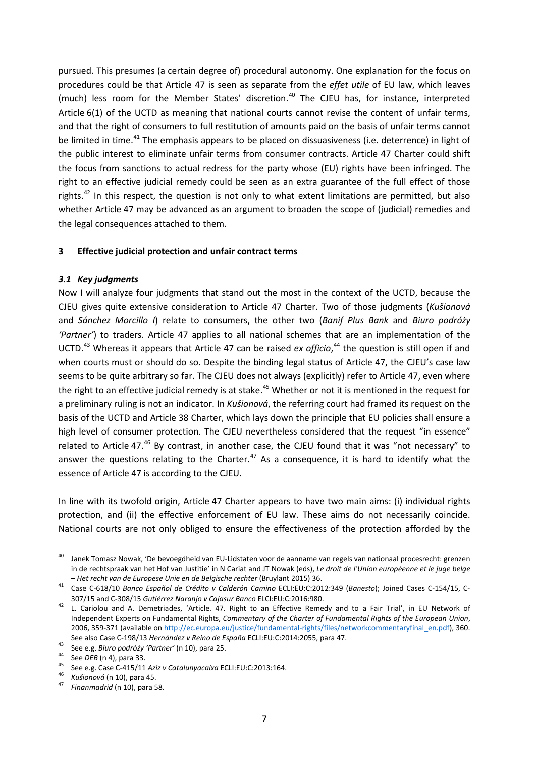pursued. This presumes (a certain degree of) procedural autonomy. One explanation for the focus on procedures could be that Article 47 is seen as separate from the *effet utile* of EU law, which leaves (much) less room for the Member States' discretion.<sup>[40](#page-9-0)</sup> The CJEU has, for instance, interpreted Article 6(1) of the UCTD as meaning that national courts cannot revise the content of unfair terms, and that the right of consumers to full restitution of amounts paid on the basis of unfair terms cannot be limited in time.<sup>[41](#page-9-1)</sup> The emphasis appears to be placed on dissuasiveness (i.e. deterrence) in light of the public interest to eliminate unfair terms from consumer contracts. Article 47 Charter could shift the focus from sanctions to actual redress for the party whose (EU) rights have been infringed. The right to an effective judicial remedy could be seen as an extra guarantee of the full effect of those rights.<sup>[42](#page-9-2)</sup> In this respect, the question is not only to what extent limitations are permitted, but also whether Article 47 may be advanced as an argument to broaden the scope of (judicial) remedies and the legal consequences attached to them.

#### **3 Effective judicial protection and unfair contract terms**

#### *3.1 Key judgments*

Now I will analyze four judgments that stand out the most in the context of the UCTD, because the CJEU gives quite extensive consideration to Article 47 Charter. Two of those judgments (*Kušionová*  and *Sánchez Morcillo I*) relate to consumers, the other two (*Banif Plus Bank* and *Biuro podróży 'Partner'*) to traders. Article 47 applies to all national schemes that are an implementation of the UCTD.[43](#page-9-3) Whereas it appears that Article 47 can be raised *ex officio*, [44](#page-9-4) the question is still open if and when courts must or should do so. Despite the binding legal status of Article 47, the CJEU's case law seems to be quite arbitrary so far. The CJEU does not always (explicitly) refer to Article 47, even where the right to an effective judicial remedy is at stake.<sup>[45](#page-9-5)</sup> Whether or not it is mentioned in the request for a preliminary ruling is not an indicator. In *Kušionová*, the referring court had framed its request on the basis of the UCTD and Article 38 Charter, which lays down the principle that EU policies shall ensure a high level of consumer protection. The CJEU nevertheless considered that the request "in essence" related to Article 47.<sup>[46](#page-9-6)</sup> By contrast, in another case, the CJEU found that it was "not necessary" to answer the questions relating to the Charter.<sup>[47](#page-9-7)</sup> As a consequence, it is hard to identify what the essence of Article 47 is according to the CJEU.

In line with its twofold origin, Article 47 Charter appears to have two main aims: (i) individual rights protection, and (ii) the effective enforcement of EU law. These aims do not necessarily coincide. National courts are not only obliged to ensure the effectiveness of the protection afforded by the

<span id="page-9-0"></span> <sup>40</sup> Janek Tomasz Nowak, 'De bevoegdheid van EU-Lidstaten voor de aanname van regels van nationaal procesrecht: grenzen in de rechtspraak van het Hof van Justitie' in N Cariat and JT Nowak (eds), *Le droit de l'Union européenne et le juge belge* 

<span id="page-9-1"></span>*<sup>–</sup> Het recht van de Europese Unie en de Belgische rechter* (Bruylant 2015) 36. <sup>41</sup> Case C-618/10 *Banco Español de Crédito v Calderón Camino* ECLI:EU:C:2012:349 (*Banesto*); Joined Cases C-154/15, C-307/15 and C-308/15 *Gutiérrez Naranjo v Cajasur Banco* ELCI:EU:C:2016:980. 42 L. Cariolou and A. Demetriades, 'Article. 47. Right to an Effective Remedy and to a Fair Trial', in EU Network of

<span id="page-9-2"></span>Independent Experts on Fundamental Rights, *Commentary of the Charter of Fundamental Rights of the European Union*, 2006, 359-371 (available o[n http://ec.europa.eu/justice/fundamental-rights/files/networkcommentaryfinal\\_en.pdf\)](http://ec.europa.eu/justice/fundamental-rights/files/networkcommentaryfinal_en.pdf), 360. See also Case C-198/13 Hernández v Reino de España ECLI:EU:C:2014:2055, para 47.<br>
<sup>43</sup> See e.g. Biuro podróży 'Partner' (n 10), para 25.<br>
<sup>44</sup> See DEB (n 4), para 33.<br>
<sup>45</sup> See e.g. Case C-415/11 Aziz v Catalunyacaixa ECLI

<span id="page-9-3"></span>

<span id="page-9-4"></span>

<span id="page-9-5"></span>

<span id="page-9-6"></span>

<span id="page-9-7"></span>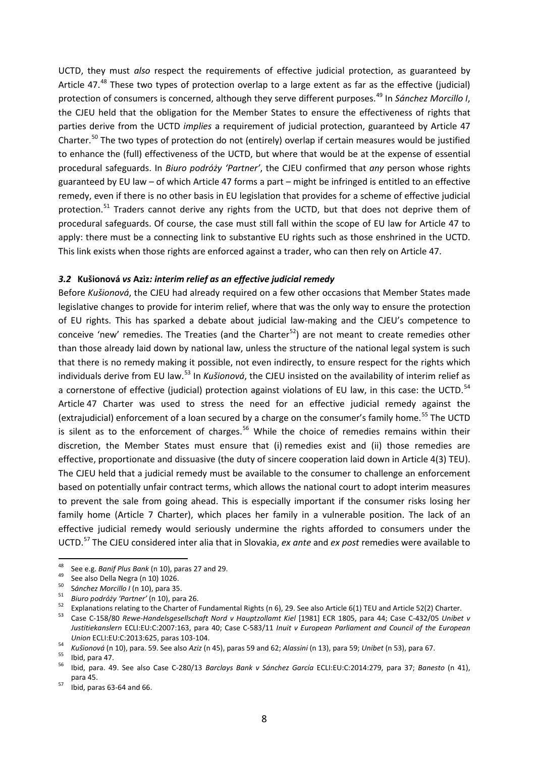UCTD, they must *also* respect the requirements of effective judicial protection, as guaranteed by Article 47.<sup>[48](#page-10-0)</sup> These two types of protection overlap to a large extent as far as the effective (judicial) protection of consumers is concerned, although they serve different purposes.[49](#page-10-1) In *Sánchez Morcillo I*, the CJEU held that the obligation for the Member States to ensure the effectiveness of rights that parties derive from the UCTD *implies* a requirement of judicial protection, guaranteed by Article 47 Charter.[50](#page-10-2) The two types of protection do not (entirely) overlap if certain measures would be justified to enhance the (full) effectiveness of the UCTD, but where that would be at the expense of essential procedural safeguards. In *Biuro podróży 'Partner'*, the CJEU confirmed that *any* person whose rights guaranteed by EU law – of which Article 47 forms a part – might be infringed is entitled to an effective remedy, even if there is no other basis in EU legislation that provides for a scheme of effective judicial protection.<sup>[51](#page-10-3)</sup> Traders cannot derive any rights from the UCTD, but that does not deprive them of procedural safeguards. Of course, the case must still fall within the scope of EU law for Article 47 to apply: there must be a connecting link to substantive EU rights such as those enshrined in the UCTD. This link exists when those rights are enforced against a trader, who can then rely on Article 47.

#### *3.2* **Kušionová** *vs* **Aziz***: interim relief as an effective judicial remedy*

Before *Kušionová*, the CJEU had already required on a few other occasions that Member States made legislative changes to provide for interim relief, where that was the only way to ensure the protection of EU rights. This has sparked a debate about judicial law-making and the CJEU's competence to conceive 'new' remedies. The Treaties (and the Charter<sup>[52](#page-10-4)</sup>) are not meant to create remedies other than those already laid down by national law, unless the structure of the national legal system is such that there is no remedy making it possible, not even indirectly, to ensure respect for the rights which individuals derive from EU law.[53](#page-10-5) In *Kušionová*, the CJEU insisted on the availability of interim relief as a cornerstone of effective (judicial) protection against violations of EU law, in this case: the UCTD.<sup>[54](#page-10-6)</sup> Article 47 Charter was used to stress the need for an effective judicial remedy against the (extrajudicial) enforcement of a loan secured by a charge on the consumer's family home.<sup>[55](#page-10-7)</sup> The UCTD is silent as to the enforcement of charges.<sup>[56](#page-10-8)</sup> While the choice of remedies remains within their discretion, the Member States must ensure that (i) remedies exist and (ii) those remedies are effective, proportionate and dissuasive (the duty of sincere cooperation laid down in Article 4(3) TEU). The CJEU held that a judicial remedy must be available to the consumer to challenge an enforcement based on potentially unfair contract terms, which allows the national court to adopt interim measures to prevent the sale from going ahead. This is especially important if the consumer risks losing her family home (Article 7 Charter), which places her family in a vulnerable position. The lack of an effective judicial remedy would seriously undermine the rights afforded to consumers under the UCTD. [57](#page-10-9) The CJEU considered inter alia that in Slovakia, *ex ante* and *ex post* remedies were available to

<span id="page-10-2"></span>

<span id="page-10-3"></span>

<span id="page-10-1"></span><span id="page-10-0"></span><sup>&</sup>lt;sup>48</sup> See e.g. Banif Plus Bank (n 10), paras 27 and 29.<br>
<sup>49</sup> See also Della Negra (n 10) 1026.<br>
50 Sánchez Morcillo I (n 10), para 35.<br>
Biuro podróży 'Partner' (n 10), para 26.<br>
Explanations relating to the Charter of Fun

<span id="page-10-5"></span><span id="page-10-4"></span>*Justitiekanslern* ECLI:EU:C:2007:163, para 40; Case C-583/11 *Inuit v European Parliament and Council of the European*  Union ECLI:EU:C:2013:625, paras 103-104.<br><sup>54</sup> Kušionová (n 10), para. 59. See also Aziz (n 45), paras 59 and 62; Alassini (n 13), para 59; Unibet (n 53), para 67.<br><sup>55</sup> Ibid, para 47.<br><sup>56</sup> Ibid, para. 49. See also Case C-28

<span id="page-10-6"></span>

<span id="page-10-8"></span><span id="page-10-7"></span>para 45.<br> $57$  Ibid, paras 63-64 and 66.

<span id="page-10-9"></span>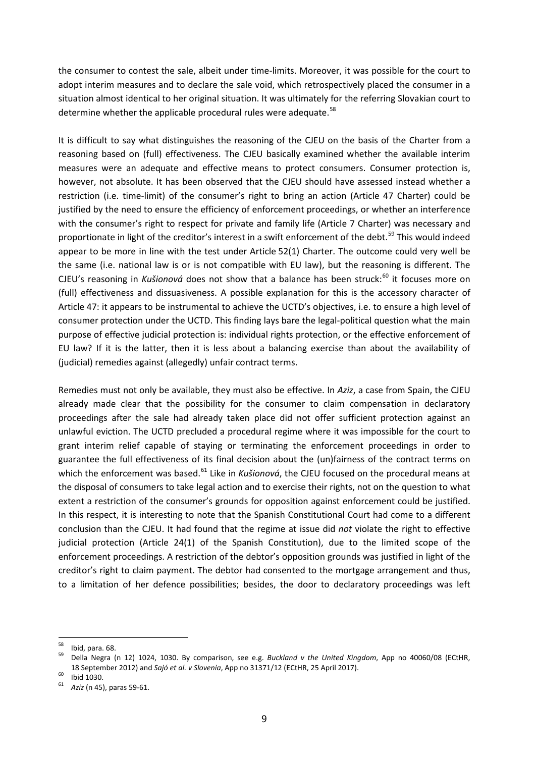the consumer to contest the sale, albeit under time-limits. Moreover, it was possible for the court to adopt interim measures and to declare the sale void, which retrospectively placed the consumer in a situation almost identical to her original situation. It was ultimately for the referring Slovakian court to determine whether the applicable procedural rules were adequate.<sup>[58](#page-11-0)</sup>

It is difficult to say what distinguishes the reasoning of the CJEU on the basis of the Charter from a reasoning based on (full) effectiveness. The CJEU basically examined whether the available interim measures were an adequate and effective means to protect consumers. Consumer protection is, however, not absolute. It has been observed that the CJEU should have assessed instead whether a restriction (i.e. time-limit) of the consumer's right to bring an action (Article 47 Charter) could be justified by the need to ensure the efficiency of enforcement proceedings, or whether an interference with the consumer's right to respect for private and family life (Article 7 Charter) was necessary and proportionate in light of the creditor's interest in a swift enforcement of the debt.<sup>[59](#page-11-1)</sup> This would indeed appear to be more in line with the test under Article 52(1) Charter. The outcome could very well be the same (i.e. national law is or is not compatible with EU law), but the reasoning is different. The CJEU's reasoning in *Kušionová* does not show that a balance has been struck: [60](#page-11-2) it focuses more on (full) effectiveness and dissuasiveness. A possible explanation for this is the accessory character of Article 47: it appears to be instrumental to achieve the UCTD's objectives, i.e. to ensure a high level of consumer protection under the UCTD. This finding lays bare the legal-political question what the main purpose of effective judicial protection is: individual rights protection, or the effective enforcement of EU law? If it is the latter, then it is less about a balancing exercise than about the availability of (judicial) remedies against (allegedly) unfair contract terms.

Remedies must not only be available, they must also be effective. In *Aziz*, a case from Spain, the CJEU already made clear that the possibility for the consumer to claim compensation in declaratory proceedings after the sale had already taken place did not offer sufficient protection against an unlawful eviction. The UCTD precluded a procedural regime where it was impossible for the court to grant interim relief capable of staying or terminating the enforcement proceedings in order to guarantee the full effectiveness of its final decision about the (un)fairness of the contract terms on which the enforcement was based.<sup>[61](#page-11-3)</sup> Like in *Kušionová*, the CJEU focused on the procedural means at the disposal of consumers to take legal action and to exercise their rights, not on the question to what extent a restriction of the consumer's grounds for opposition against enforcement could be justified. In this respect, it is interesting to note that the Spanish Constitutional Court had come to a different conclusion than the CJEU. It had found that the regime at issue did *not* violate the right to effective judicial protection (Article 24(1) of the Spanish Constitution), due to the limited scope of the enforcement proceedings. A restriction of the debtor's opposition grounds was justified in light of the creditor's right to claim payment. The debtor had consented to the mortgage arrangement and thus, to a limitation of her defence possibilities; besides, the door to declaratory proceedings was left

<span id="page-11-1"></span><span id="page-11-0"></span><sup>&</sup>lt;sup>58</sup> Ibid, para. 68.<br><sup>59</sup> Della Negra (n 12) 1024, 1030. By comparison, see e.g. *Buckland v the United Kingdom*, App no 40060/08 (ECtHR, <sup>18</sup> September 2012) and *Sajó et al. v Slovenia*, App no 31371/12 (ECtHR, 25 April 2017). 60 Ibid 1030. <sup>61</sup> *Aziz* (n 45), paras 59-61.

<span id="page-11-3"></span><span id="page-11-2"></span>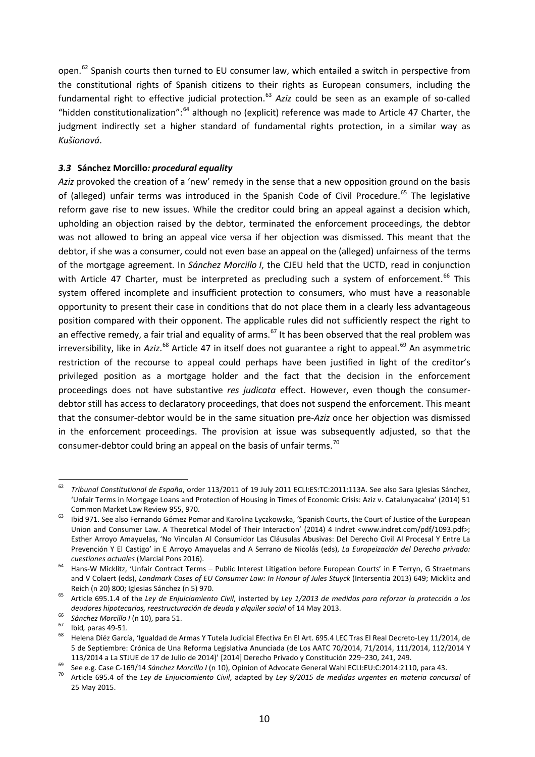open.<sup>[62](#page-12-0)</sup> Spanish courts then turned to EU consumer law, which entailed a switch in perspective from the constitutional rights of Spanish citizens to their rights as European consumers, including the fundamental right to effective judicial protection.<sup>[63](#page-12-1)</sup> Aziz could be seen as an example of so-called "hidden constitutionalization":<sup>[64](#page-12-2)</sup> although no (explicit) reference was made to Article 47 Charter, the judgment indirectly set a higher standard of fundamental rights protection, in a similar way as *Kušionová*.

#### *3.3* **Sánchez Morcillo***: procedural equality*

*Aziz* provoked the creation of a 'new' remedy in the sense that a new opposition ground on the basis of (alleged) unfair terms was introduced in the Spanish Code of Civil Procedure.<sup>[65](#page-12-3)</sup> The legislative reform gave rise to new issues. While the creditor could bring an appeal against a decision which, upholding an objection raised by the debtor, terminated the enforcement proceedings, the debtor was not allowed to bring an appeal vice versa if her objection was dismissed. This meant that the debtor, if she was a consumer, could not even base an appeal on the (alleged) unfairness of the terms of the mortgage agreement. In *Sánchez Morcillo I*, the CJEU held that the UCTD, read in conjunction with Article 47 Charter, must be interpreted as precluding such a system of enforcement.<sup>[66](#page-12-4)</sup> This system offered incomplete and insufficient protection to consumers, who must have a reasonable opportunity to present their case in conditions that do not place them in a clearly less advantageous position compared with their opponent. The applicable rules did not sufficiently respect the right to an effective remedy, a fair trial and equality of arms.<sup>[67](#page-12-5)</sup> It has been observed that the real problem was irreversibility, like in *Aziz*.<sup>[68](#page-12-6)</sup> Article 47 in itself does not guarantee a right to appeal.<sup>[69](#page-12-7)</sup> An asymmetric restriction of the recourse to appeal could perhaps have been justified in light of the creditor's privileged position as a mortgage holder and the fact that the decision in the enforcement proceedings does not have substantive *res judicata* effect. However, even though the consumerdebtor still has access to declaratory proceedings, that does not suspend the enforcement. This meant that the consumer-debtor would be in the same situation pre-*Aziz* once her objection was dismissed in the enforcement proceedings. The provision at issue was subsequently adjusted, so that the consumer-debtor could bring an appeal on the basis of unfair terms.<sup>[70](#page-12-8)</sup>

<span id="page-12-0"></span> <sup>62</sup> *Tribunal Constitutional de España*, order 113/2011 of 19 July 2011 ECLI:ES:TC:2011:113A. See also Sara Iglesias Sánchez, 'Unfair Terms in Mortgage Loans and Protection of Housing in Times of Economic Crisis: Aziz v. Catalunyacaixa' (2014) 51

<span id="page-12-1"></span>Common Market Law Review 955, 970.<br>Ibid 971. See also Fernando Gómez Pomar and Karolina Lyczkowska, 'Spanish Courts, the Court of Justice of the European Union and Consumer Law. A Theoretical Model of Their Interaction' (2014) 4 Indret <www.indret.com/pdf/1093.pdf>; Esther Arroyo Amayuelas, 'No Vinculan Al Consumidor Las Cláusulas Abusivas: Del Derecho Civil Al Procesal Y Entre La Prevención Y El Castigo' in E Arroyo Amayuelas and A Serrano de Nicolás (eds), *La Europeización del Derecho privado:* 

<span id="page-12-2"></span>*cuestiones actuales* (Marcial Pons 2016). <sup>64</sup> Hans-W Micklitz, 'Unfair Contract Terms – Public Interest Litigation before European Courts' in E Terryn, G Straetmans and V Colaert (eds), *Landmark Cases of EU Consumer Law: In Honour of Jules Stuyck* (Intersentia 2013) 649; Micklitz and Reich (n 20) 800; Iglesias Sánchez (n 5) 970.<br>Article 695.1.4 of the *Ley de Enjuiciamiento Civil*, insterted by *Ley 1/2013 de medidas para reforzar la protección a los* 

<span id="page-12-3"></span>deudores hipotecarios, reestructuración de deuda y alquiler social of 14 May 2013.<br>
<sup>66</sup> Sánchez Morcillo I (n 10), para 51.<br>
<sup>67</sup> Ibid, paras 49-51.<br>
<sup>67</sup> Helena Diéz García, 'Igualdad de Armas Y Tutela Judicial Efectiva

<span id="page-12-4"></span>

<span id="page-12-5"></span>

<span id="page-12-6"></span><sup>5</sup> de Septiembre: Crónica de Una Reforma Legislativa Anunciada (de Los AATC 70/2014, 71/2014, 111/2014, 112/2014 Y

<span id="page-12-8"></span><span id="page-12-7"></span>

<sup>113/2014</sup> a La STJUE de 17 de Julio de 2014)' [2014] Derecho Privado y Constitución 229–230, 241, 249.<br>See e.g. Case C-169/14 Sánchez Morcillo I (n 10), Opinion of Advocate General Wahl ECLI:EU:C:2014:2110, para 43.<br>Article 25 May 2015.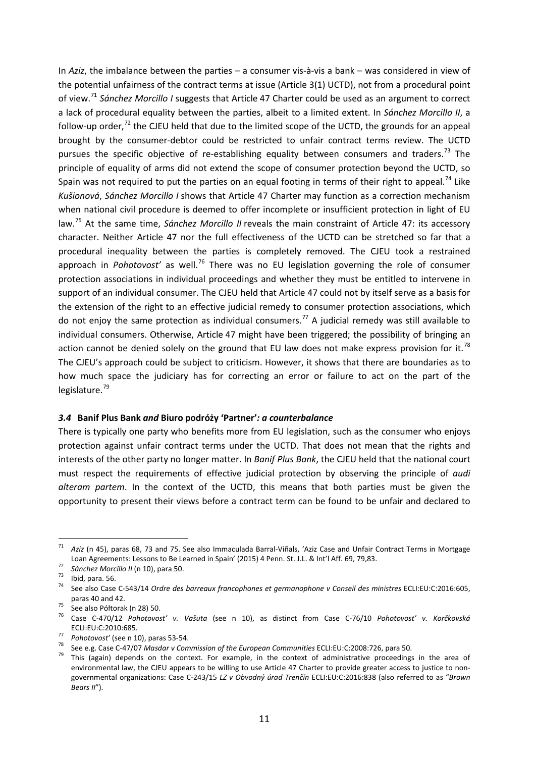In *Aziz*, the imbalance between the parties – a consumer vis-à-vis a bank – was considered in view of the potential unfairness of the contract terms at issue (Article 3(1) UCTD), not from a procedural point of view.[71](#page-13-0) *Sánchez Morcillo I* suggests that Article 47 Charter could be used as an argument to correct a lack of procedural equality between the parties, albeit to a limited extent. In *Sánchez Morcillo II*, a follow-up order, $^{72}$  $^{72}$  $^{72}$  the CJEU held that due to the limited scope of the UCTD, the grounds for an appeal brought by the consumer-debtor could be restricted to unfair contract terms review. The UCTD pursues the specific objective of re-establishing equality between consumers and traders.<sup>[73](#page-13-2)</sup> The principle of equality of arms did not extend the scope of consumer protection beyond the UCTD, so Spain was not required to put the parties on an equal footing in terms of their right to appeal.<sup>[74](#page-13-3)</sup> Like *Kušionová*, *Sánchez Morcillo I* shows that Article 47 Charter may function as a correction mechanism when national civil procedure is deemed to offer incomplete or insufficient protection in light of EU law.[75](#page-13-4) At the same time, *Sánchez Morcillo II* reveals the main constraint of Article 47: its accessory character. Neither Article 47 nor the full effectiveness of the UCTD can be stretched so far that a procedural inequality between the parties is completely removed. The CJEU took a restrained approach in *Pohotovost'* as well.<sup>[76](#page-13-5)</sup> There was no EU legislation governing the role of consumer protection associations in individual proceedings and whether they must be entitled to intervene in support of an individual consumer. The CJEU held that Article 47 could not by itself serve as a basis for the extension of the right to an effective judicial remedy to consumer protection associations, which do not enjoy the same protection as individual consumers.<sup>[77](#page-13-6)</sup> A judicial remedy was still available to individual consumers. Otherwise, Article 47 might have been triggered; the possibility of bringing an action cannot be denied solely on the ground that EU law does not make express provision for it.<sup>[78](#page-13-7)</sup> The CJEU's approach could be subject to criticism. However, it shows that there are boundaries as to how much space the judiciary has for correcting an error or failure to act on the part of the legislature.<sup>[79](#page-13-8)</sup>

#### *3.4* **Banif Plus Bank** *and* **Biuro podróży 'Partner'***: a counterbalance*

There is typically one party who benefits more from EU legislation, such as the consumer who enjoys protection against unfair contract terms under the UCTD. That does not mean that the rights and interests of the other party no longer matter. In *Banif Plus Bank*, the CJEU held that the national court must respect the requirements of effective judicial protection by observing the principle of *audi alteram partem*. In the context of the UCTD, this means that both parties must be given the opportunity to present their views before a contract term can be found to be unfair and declared to

<span id="page-13-0"></span> <sup>71</sup> *Aziz* (n 45), paras 68, 73 and 75. See also Immaculada Barral-Viñals, 'Aziz Case and Unfair Contract Terms in Mortgage

<span id="page-13-3"></span><span id="page-13-2"></span>

<span id="page-13-1"></span>Loan Agreements: Lessons to Be Learned in Spain' (2015) 4 Penn. St. J.L. & Int'l Aff. 69, 79,83.<br>
Sánchez Morcillo II (n 10), para 50.<br>
19 Ibid, para. 56.<br>
See also Case C-543/14 Ordre des barreaux francophones et germanop

<span id="page-13-4"></span>paras 40 and 42. 75 See also Półtorak (n 28) 50. <sup>76</sup> Case C-470/12 *Pohotovost' v. Vašuta* (see n 10), as distinct from Case C-76/10 *Pohotovost' v. Korčkovská*

<span id="page-13-6"></span>

<span id="page-13-8"></span><span id="page-13-7"></span>

<span id="page-13-5"></span>ECLI:EU:C:2010:685.<br>
Pohotovost' (see n 10), paras 53-54.<br>
See e.g. Case C-47/07 Masdar v Commission of the European Communities ECLI:EU:C:2008:726, para 50.<br>
This (again) depends on the context. For example, in the conte environmental law, the CJEU appears to be willing to use Article 47 Charter to provide greater access to justice to nongovernmental organizations: Case C-243/15 *LZ v Obvodný úrad Trenčín* ECLI:EU:C:2016:838 (also referred to as "*Brown Bears II*").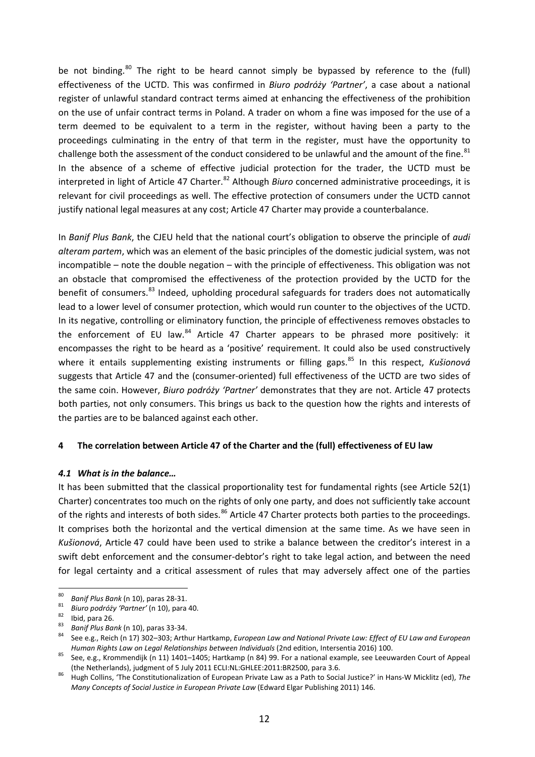be not binding.<sup>[80](#page-14-0)</sup> The right to be heard cannot simply be bypassed by reference to the (full) effectiveness of the UCTD. This was confirmed in *Biuro podróży 'Partner'*, a case about a national register of unlawful standard contract terms aimed at enhancing the effectiveness of the prohibition on the use of unfair contract terms in Poland. A trader on whom a fine was imposed for the use of a term deemed to be equivalent to a term in the register, without having been a party to the proceedings culminating in the entry of that term in the register, must have the opportunity to challenge both the assessment of the conduct considered to be unlawful and the amount of the fine.<sup>[81](#page-14-1)</sup> In the absence of a scheme of effective judicial protection for the trader, the UCTD must be interpreted in light of Article 47 Charter. [82](#page-14-2) Although *Biuro* concerned administrative proceedings, it is relevant for civil proceedings as well. The effective protection of consumers under the UCTD cannot justify national legal measures at any cost; Article 47 Charter may provide a counterbalance.

In *Banif Plus Bank*, the CJEU held that the national court's obligation to observe the principle of *audi alteram partem*, which was an element of the basic principles of the domestic judicial system, was not incompatible – note the double negation – with the principle of effectiveness. This obligation was not an obstacle that compromised the effectiveness of the protection provided by the UCTD for the benefit of consumers.<sup>[83](#page-14-3)</sup> Indeed, upholding procedural safeguards for traders does not automatically lead to a lower level of consumer protection, which would run counter to the objectives of the UCTD. In its negative, controlling or eliminatory function, the principle of effectiveness removes obstacles to the enforcement of EU law. $84$  Article 47 Charter appears to be phrased more positively: it encompasses the right to be heard as a 'positive' requirement. It could also be used constructively where it entails supplementing existing instruments or filling gaps.<sup>[85](#page-14-5)</sup> In this respect, *Kušionová* suggests that Article 47 and the (consumer-oriented) full effectiveness of the UCTD are two sides of the same coin. However, *Biuro podróży 'Partner'* demonstrates that they are not. Article 47 protects both parties, not only consumers. This brings us back to the question how the rights and interests of the parties are to be balanced against each other.

#### **4 The correlation between Article 47 of the Charter and the (full) effectiveness of EU law**

#### *4.1 What is in the balance…*

It has been submitted that the classical proportionality test for fundamental rights (see Article 52(1) Charter) concentrates too much on the rights of only one party, and does not sufficiently take account of the rights and interests of both sides.<sup>[86](#page-14-6)</sup> Article 47 Charter protects both parties to the proceedings. It comprises both the horizontal and the vertical dimension at the same time. As we have seen in *Kušionová*, Article 47 could have been used to strike a balance between the creditor's interest in a swift debt enforcement and the consumer-debtor's right to take legal action, and between the need for legal certainty and a critical assessment of rules that may adversely affect one of the parties

<span id="page-14-1"></span>

<span id="page-14-2"></span>

<span id="page-14-4"></span><span id="page-14-3"></span>

<span id="page-14-0"></span><sup>&</sup>lt;sup>80</sup> Banif Plus Bank (n 10), paras 28-31.<br><sup>81</sup> Biuro podróży 'Partner' (n 10), para 40.<br><sup>82</sup> Ibid, para 26.<br><sup>83</sup> Banif Plus Bank (n 10), paras 33-34.<br><sup>84</sup> See e.g., Reich (n 17) 302–303; Arthur Hartkamp, *European Law and* 

*Human Rights Law on Legal Relationships between Individuals* (2nd edition, Intersentia 2016) 100.<br>See, e.g., Krommendijk (n 11) 1401–1405; Hartkamp (n 84) 99. For a national example, see Leeuwarden Court of Appeal

<span id="page-14-6"></span><span id="page-14-5"></span><sup>(</sup>the Netherlands), judgment of 5 July 2011 ECLI:NL:GHLEE:2011:BR2500, para 3.6. 86 Hugh Collins, 'The Constitutionalization of European Private Law as a Path to Social Justice?' in Hans-W Micklitz (ed), *The Many Concepts of Social Justice in European Private Law* (Edward Elgar Publishing 2011) 146.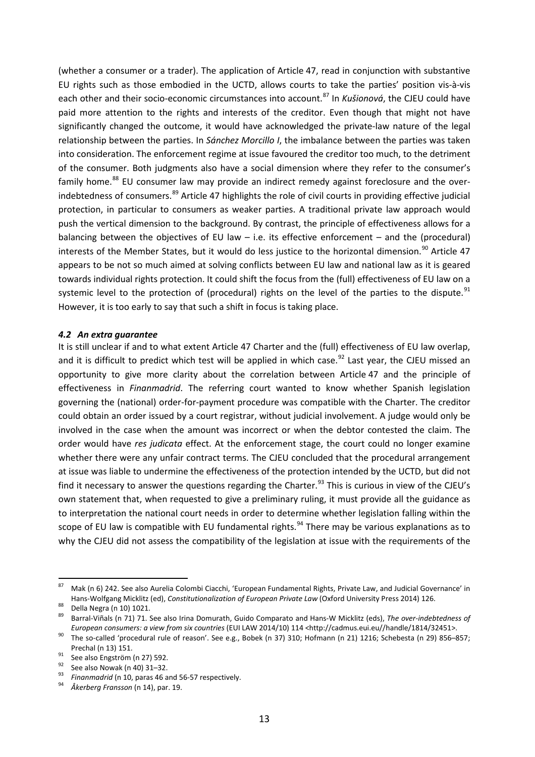(whether a consumer or a trader). The application of Article 47, read in conjunction with substantive EU rights such as those embodied in the UCTD, allows courts to take the parties' position vis-à-vis each other and their socio-economic circumstances into account.<sup>[87](#page-15-0)</sup> In *Kušionová*, the CJEU could have paid more attention to the rights and interests of the creditor. Even though that might not have significantly changed the outcome, it would have acknowledged the private-law nature of the legal relationship between the parties. In *Sánchez Morcillo I*, the imbalance between the parties was taken into consideration. The enforcement regime at issue favoured the creditor too much, to the detriment of the consumer. Both judgments also have a social dimension where they refer to the consumer's family home.<sup>[88](#page-15-1)</sup> EU consumer law may provide an indirect remedy against foreclosure and the over-indebtedness of consumers.<sup>[89](#page-15-2)</sup> Article 47 highlights the role of civil courts in providing effective judicial protection, in particular to consumers as weaker parties. A traditional private law approach would push the vertical dimension to the background. By contrast, the principle of effectiveness allows for a balancing between the objectives of EU law – i.e. its effective enforcement – and the (procedural) interests of the Member States, but it would do less justice to the horizontal dimension. [90](#page-15-3) Article 47 appears to be not so much aimed at solving conflicts between EU law and national law as it is geared towards individual rights protection. It could shift the focus from the (full) effectiveness of EU law on a systemic level to the protection of (procedural) rights on the level of the parties to the dispute.<sup>[91](#page-15-4)</sup> However, it is too early to say that such a shift in focus is taking place.

#### *4.2 An extra guarantee*

It is still unclear if and to what extent Article 47 Charter and the (full) effectiveness of EU law overlap, and it is difficult to predict which test will be applied in which case.<sup>[92](#page-15-5)</sup> Last year, the CJEU missed an opportunity to give more clarity about the correlation between Article 47 and the principle of effectiveness in *Finanmadrid*. The referring court wanted to know whether Spanish legislation governing the (national) order-for-payment procedure was compatible with the Charter. The creditor could obtain an order issued by a court registrar, without judicial involvement. A judge would only be involved in the case when the amount was incorrect or when the debtor contested the claim. The order would have *res judicata* effect. At the enforcement stage, the court could no longer examine whether there were any unfair contract terms. The CJEU concluded that the procedural arrangement at issue was liable to undermine the effectiveness of the protection intended by the UCTD, but did not find it necessary to answer the questions regarding the Charter.<sup>[93](#page-15-6)</sup> This is curious in view of the CJEU's own statement that, when requested to give a preliminary ruling, it must provide all the guidance as to interpretation the national court needs in order to determine whether legislation falling within the scope of EU law is compatible with EU fundamental rights.<sup>[94](#page-15-7)</sup> There may be various explanations as to why the CJEU did not assess the compatibility of the legislation at issue with the requirements of the

<span id="page-15-0"></span><sup>87</sup> Mak (n 6) 242. See also Aurelia Colombi Ciacchi, 'European Fundamental Rights, Private Law, and Judicial Governance' in Hans-Wolfgang Micklitz (ed), Constitutionalization of European Private Law (Oxford University Press 2014) 126.<br><sup>88</sup> Della Negra (n 10) 1021.<br><sup>89</sup> Barral-Viñals (n 71) 71. See also Irina Domurath, Guido Comparato and Hans-W

<span id="page-15-1"></span>

<span id="page-15-2"></span>European consumers: a view from six countries (EUI LAW 2014/10) 114 <http://cadmus.eui.eu//handle/1814/32451>.<br>The so-called 'procedural rule of reason'. See e.g., Bobek (n 37) 310; Hofmann (n 21) 1216; Schebesta (n 29) 85

<span id="page-15-3"></span>

<span id="page-15-6"></span><span id="page-15-5"></span>

<span id="page-15-4"></span>Prechal (n 13) 151.<br>
91 See also Engström (n 27) 592.<br>
92 See also Nowak (n 40) 31–32.<br>
93 *Finanmadrid* (n 10, paras 46 and 56-57 respectively.<br>
94 *Åkerberg Fransson* (n 14), par. 19.

<span id="page-15-7"></span>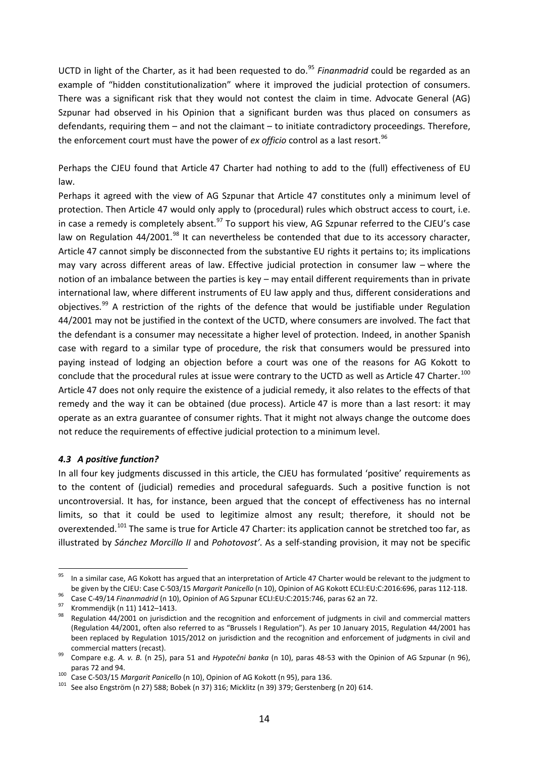UCTD in light of the Charter, as it had been requested to do.<sup>[95](#page-16-0)</sup> *Finanmadrid* could be regarded as an example of "hidden constitutionalization" where it improved the judicial protection of consumers. There was a significant risk that they would not contest the claim in time. Advocate General (AG) Szpunar had observed in his Opinion that a significant burden was thus placed on consumers as defendants, requiring them – and not the claimant – to initiate contradictory proceedings. Therefore, the enforcement court must have the power of *ex officio* control as a last resort. [96](#page-16-1)

Perhaps the CJEU found that Article 47 Charter had nothing to add to the (full) effectiveness of EU law.

Perhaps it agreed with the view of AG Szpunar that Article 47 constitutes only a minimum level of protection. Then Article 47 would only apply to (procedural) rules which obstruct access to court, i.e. in case a remedy is completely absent.<sup>[97](#page-16-2)</sup> To support his view, AG Szpunar referred to the CJEU's case law on Regulation 44/2001.<sup>[98](#page-16-3)</sup> It can nevertheless be contended that due to its accessory character, Article 47 cannot simply be disconnected from the substantive EU rights it pertains to; its implications may vary across different areas of law. Effective judicial protection in consumer law – where the notion of an imbalance between the parties is key – may entail different requirements than in private international law, where different instruments of EU law apply and thus, different considerations and objectives.<sup>[99](#page-16-4)</sup> A restriction of the rights of the defence that would be justifiable under Regulation 44/2001 may not be justified in the context of the UCTD, where consumers are involved. The fact that the defendant is a consumer may necessitate a higher level of protection. Indeed, in another Spanish case with regard to a similar type of procedure, the risk that consumers would be pressured into paying instead of lodging an objection before a court was one of the reasons for AG Kokott to conclude that the procedural rules at issue were contrary to the UCTD as well as Article 47 Charter.<sup>[100](#page-16-5)</sup> Article 47 does not only require the existence of a judicial remedy, it also relates to the effects of that remedy and the way it can be obtained (due process). Article 47 is more than a last resort: it may operate as an extra guarantee of consumer rights. That it might not always change the outcome does not reduce the requirements of effective judicial protection to a minimum level.

#### *4.3 A positive function?*

In all four key judgments discussed in this article, the CJEU has formulated 'positive' requirements as to the content of (judicial) remedies and procedural safeguards. Such a positive function is not uncontroversial. It has, for instance, been argued that the concept of effectiveness has no internal limits, so that it could be used to legitimize almost any result; therefore, it should not be overextended.<sup>[101](#page-16-6)</sup> The same is true for Article 47 Charter: its application cannot be stretched too far, as illustrated by *Sánchez Morcillo II* and *Pohotovost'*. As a self-standing provision, it may not be specific

<span id="page-16-0"></span><sup>&</sup>lt;sup>95</sup> In a similar case, AG Kokott has argued that an interpretation of Article 47 Charter would be relevant to the judgment to be given by the CJEU: Case C-503/15 Margarit Panicello (n 10), Opinion of AG Kokott ECLI:EU:C:2016:696, paras 112-118.<br>Case C-49/14 Finanmadrid (n 10), Opinion of AG Szpunar ECLI:EU:C:2015:746, paras 62 an 72.<br>Krommendijk

<span id="page-16-1"></span>

<span id="page-16-2"></span>

<span id="page-16-3"></span><sup>(</sup>Regulation 44/2001, often also referred to as "Brussels I Regulation"). As per 10 January 2015, Regulation 44/2001 has been replaced by Regulation 1015/2012 on jurisdiction and the recognition and enforcement of judgments in civil and commercial matters (recast).<br>Compare e.g. *A. v. B.* (n 25), para 51 and *Hypotečni banka* (n 10), paras 48-53 with the Opinion of AG Szpunar (n 96),

<span id="page-16-6"></span>

<span id="page-16-5"></span><span id="page-16-4"></span>paras 72 and 94.<br><sup>100</sup> Case C-503/15 *Margarit Panicello* (n 10), Opinion of AG Kokott (n 95), para 136.<br><sup>101</sup> See also Engström (n 27) 588; Bobek (n 37) 316; Micklitz (n 39) 379; Gerstenberg (n 20) 614.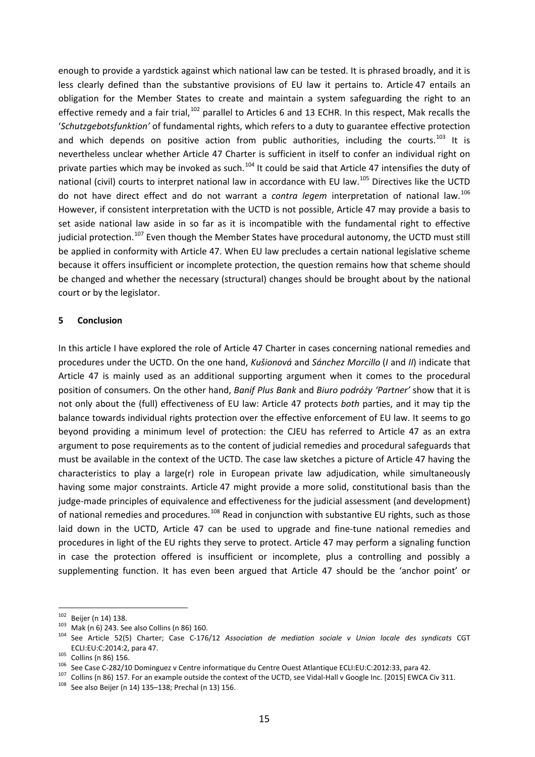enough to provide a yardstick against which national law can be tested. It is phrased broadly, and it is less clearly defined than the substantive provisions of EU law it pertains to. Article 47 entails an obligation for the Member States to create and maintain a system safeguarding the right to an effective remedy and a fair trial,<sup>[102](#page-17-0)</sup> parallel to Articles 6 and 13 ECHR. In this respect, Mak recalls the '*Schutzgebotsfunktion'* of fundamental rights, which refers to a duty to guarantee effective protection and which depends on positive action from public authorities, including the courts.<sup>[103](#page-17-1)</sup> It is nevertheless unclear whether Article 47 Charter is sufficient in itself to confer an individual right on private parties which may be invoked as such.<sup>[104](#page-17-2)</sup> It could be said that Article 47 intensifies the duty of national (civil) courts to interpret national law in accordance with EU law.<sup>[105](#page-17-3)</sup> Directives like the UCTD do not have direct effect and do not warrant a *contra legem* interpretation of national law.[106](#page-17-4) However, if consistent interpretation with the UCTD is not possible, Article 47 may provide a basis to set aside national law aside in so far as it is incompatible with the fundamental right to effective judicial protection.<sup>[107](#page-17-5)</sup> Even though the Member States have procedural autonomy, the UCTD must still be applied in conformity with Article 47. When EU law precludes a certain national legislative scheme because it offers insufficient or incomplete protection, the question remains how that scheme should be changed and whether the necessary (structural) changes should be brought about by the national court or by the legislator.

#### **5 Conclusion**

In this article I have explored the role of Article 47 Charter in cases concerning national remedies and procedures under the UCTD. On the one hand, *Kušionová* and *Sánchez Morcillo* (*I* and *II*) indicate that Article 47 is mainly used as an additional supporting argument when it comes to the procedural position of consumers. On the other hand, *Banif Plus Bank* and *Biuro podróży 'Partner'* show that it is not only about the (full) effectiveness of EU law: Article 47 protects *both* parties, and it may tip the balance towards individual rights protection over the effective enforcement of EU law. It seems to go beyond providing a minimum level of protection: the CJEU has referred to Article 47 as an extra argument to pose requirements as to the content of judicial remedies and procedural safeguards that must be available in the context of the UCTD. The case law sketches a picture of Article 47 having the characteristics to play a large(r) role in European private law adjudication, while simultaneously having some major constraints. Article 47 might provide a more solid, constitutional basis than the judge-made principles of equivalence and effectiveness for the judicial assessment (and development) of national remedies and procedures.<sup>[108](#page-17-6)</sup> Read in conjunction with substantive EU rights, such as those laid down in the UCTD, Article 47 can be used to upgrade and fine-tune national remedies and procedures in light of the EU rights they serve to protect. Article 47 may perform a signaling function in case the protection offered is insufficient or incomplete, plus a controlling and possibly a supplementing function. It has even been argued that Article 47 should be the 'anchor point' or

<span id="page-17-2"></span><span id="page-17-1"></span>

<span id="page-17-0"></span><sup>&</sup>lt;sup>102</sup> Beijer (n 14) 138.<br><sup>103</sup> Mak (n 6) 243. See also Collins (n 86) 160.<br><sup>104</sup> See Article 52(5) Charter; Case C-176/12 *Association de mediation sociale v Union locale des syndicats* CGT ECLI:EU:C:2014:2, para 47.<br>
<sup>105</sup> Collins (n 86) 156.<br>
<sup>106</sup> See Case C-282/10 Dominguez v Centre informatique du Centre Ouest Atlantique ECLI:EU:C:2012:33, para 42.<br>
<sup>107</sup> Collins (n 86) 157. For an example outside the co

<span id="page-17-3"></span>

<span id="page-17-4"></span>

<span id="page-17-5"></span>

<span id="page-17-6"></span>